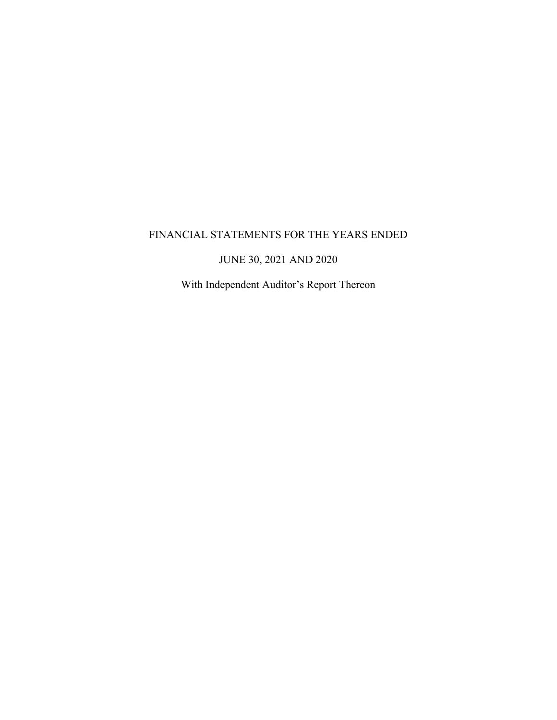# FINANCIAL STATEMENTS FOR THE YEARS ENDED

# JUNE 30, 2021 AND 2020

With Independent Auditor's Report Thereon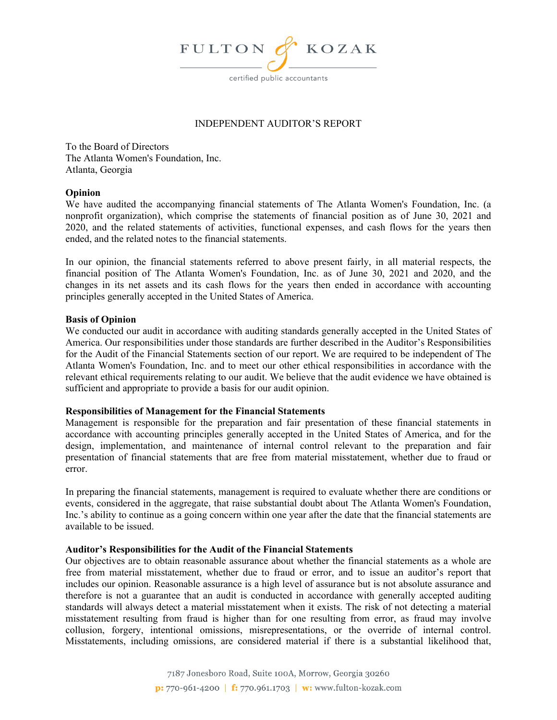

#### INDEPENDENT AUDITOR'S REPORT

To the Board of Directors The Atlanta Women's Foundation, Inc. Atlanta, Georgia

#### **Opinion**

We have audited the accompanying financial statements of The Atlanta Women's Foundation, Inc. (a nonprofit organization), which comprise the statements of financial position as of June 30, 2021 and 2020, and the related statements of activities, functional expenses, and cash flows for the years then ended, and the related notes to the financial statements.

In our opinion, the financial statements referred to above present fairly, in all material respects, the financial position of The Atlanta Women's Foundation, Inc. as of June 30, 2021 and 2020, and the changes in its net assets and its cash flows for the years then ended in accordance with accounting principles generally accepted in the United States of America.

#### **Basis of Opinion**

We conducted our audit in accordance with auditing standards generally accepted in the United States of America. Our responsibilities under those standards are further described in the Auditor's Responsibilities for the Audit of the Financial Statements section of our report. We are required to be independent of The Atlanta Women's Foundation, Inc. and to meet our other ethical responsibilities in accordance with the relevant ethical requirements relating to our audit. We believe that the audit evidence we have obtained is sufficient and appropriate to provide a basis for our audit opinion.

#### **Responsibilities of Management for the Financial Statements**

Management is responsible for the preparation and fair presentation of these financial statements in accordance with accounting principles generally accepted in the United States of America, and for the design, implementation, and maintenance of internal control relevant to the preparation and fair presentation of financial statements that are free from material misstatement, whether due to fraud or error.

In preparing the financial statements, management is required to evaluate whether there are conditions or events, considered in the aggregate, that raise substantial doubt about The Atlanta Women's Foundation, Inc.'s ability to continue as a going concern within one year after the date that the financial statements are available to be issued.

#### **Auditor's Responsibilities for the Audit of the Financial Statements**

Our objectives are to obtain reasonable assurance about whether the financial statements as a whole are free from material misstatement, whether due to fraud or error, and to issue an auditor's report that includes our opinion. Reasonable assurance is a high level of assurance but is not absolute assurance and therefore is not a guarantee that an audit is conducted in accordance with generally accepted auditing standards will always detect a material misstatement when it exists. The risk of not detecting a material misstatement resulting from fraud is higher than for one resulting from error, as fraud may involve collusion, forgery, intentional omissions, misrepresentations, or the override of internal control. Misstatements, including omissions, are considered material if there is a substantial likelihood that,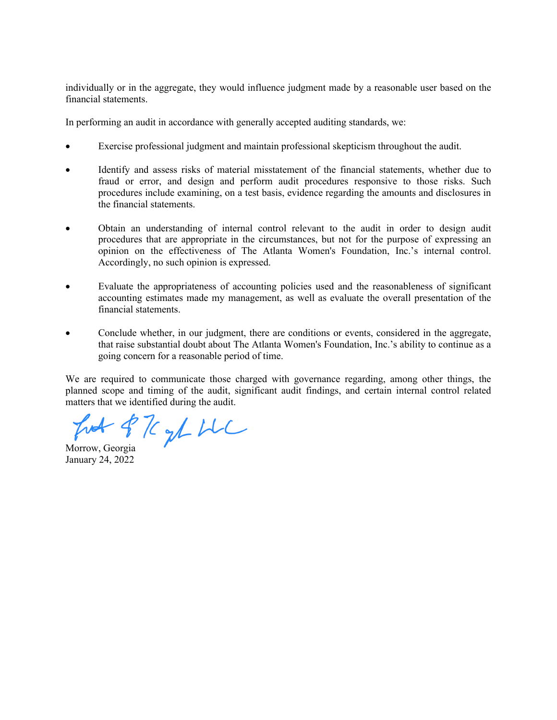individually or in the aggregate, they would influence judgment made by a reasonable user based on the financial statements.

In performing an audit in accordance with generally accepted auditing standards, we:

- Exercise professional judgment and maintain professional skepticism throughout the audit.
- Identify and assess risks of material misstatement of the financial statements, whether due to fraud or error, and design and perform audit procedures responsive to those risks. Such procedures include examining, on a test basis, evidence regarding the amounts and disclosures in the financial statements.
- Obtain an understanding of internal control relevant to the audit in order to design audit procedures that are appropriate in the circumstances, but not for the purpose of expressing an opinion on the effectiveness of The Atlanta Women's Foundation, Inc.'s internal control. Accordingly, no such opinion is expressed.
- Evaluate the appropriateness of accounting policies used and the reasonableness of significant accounting estimates made my management, as well as evaluate the overall presentation of the financial statements.
- Conclude whether, in our judgment, there are conditions or events, considered in the aggregate, that raise substantial doubt about The Atlanta Women's Foundation, Inc.'s ability to continue as a going concern for a reasonable period of time.

We are required to communicate those charged with governance regarding, among other things, the planned scope and timing of the audit, significant audit findings, and certain internal control related matters that we identified during the audit.

foot of K of WC

January 24, 2022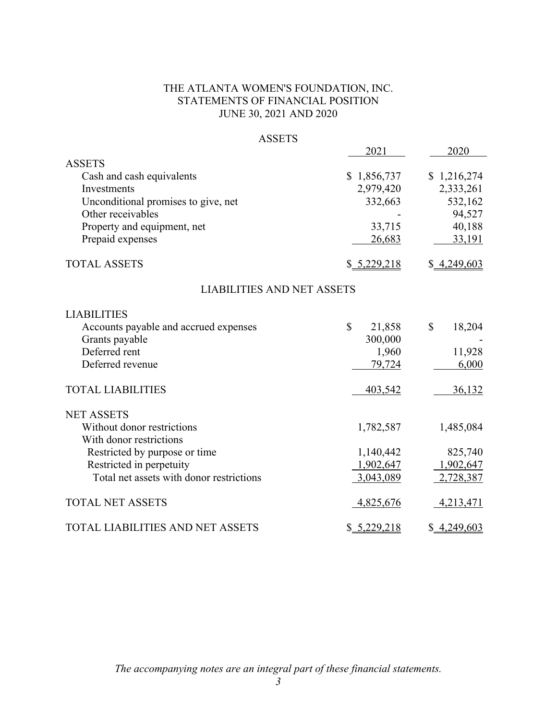# THE ATLANTA WOMEN'S FOUNDATION, INC. STATEMENTS OF FINANCIAL POSITION JUNE 30, 2021 AND 2020

# ASSETS

|                                          | 2021                   | 2020                |
|------------------------------------------|------------------------|---------------------|
| <b>ASSETS</b>                            |                        |                     |
| Cash and cash equivalents                | \$1,856,737            | \$1,216,274         |
| Investments                              | 2,979,420              | 2,333,261           |
| Unconditional promises to give, net      | 332,663                | 532,162             |
| Other receivables                        |                        | 94,527              |
| Property and equipment, net              | 33,715                 | 40,188              |
| Prepaid expenses                         | 26,683                 | 33,191              |
| <b>TOTAL ASSETS</b>                      | \$ 5,229,218           | \$4,249,603         |
| <b>LIABILITIES AND NET ASSETS</b>        |                        |                     |
| <b>LIABILITIES</b>                       |                        |                     |
| Accounts payable and accrued expenses    | $\mathbb{S}$<br>21,858 | \$<br>18,204        |
| Grants payable                           | 300,000                |                     |
| Deferred rent                            | 1,960                  | 11,928              |
| Deferred revenue                         | 79,724                 | 6,000               |
| <b>TOTAL LIABILITIES</b>                 | 403,542                | 36,132              |
| <b>NET ASSETS</b>                        |                        |                     |
| Without donor restrictions               | 1,782,587              | 1,485,084           |
| With donor restrictions                  |                        |                     |
| Restricted by purpose or time            | 1,140,442              | 825,740             |
| Restricted in perpetuity                 | 1,902,647              | 1,902,647           |
| Total net assets with donor restrictions | 3,043,089              | 2,728,387           |
| <b>TOTAL NET ASSETS</b>                  | 4,825,676              | 4,213,471           |
| <b>TOTAL LIABILITIES AND NET ASSETS</b>  | \$ 5,229,218           | \$ <u>4,249,603</u> |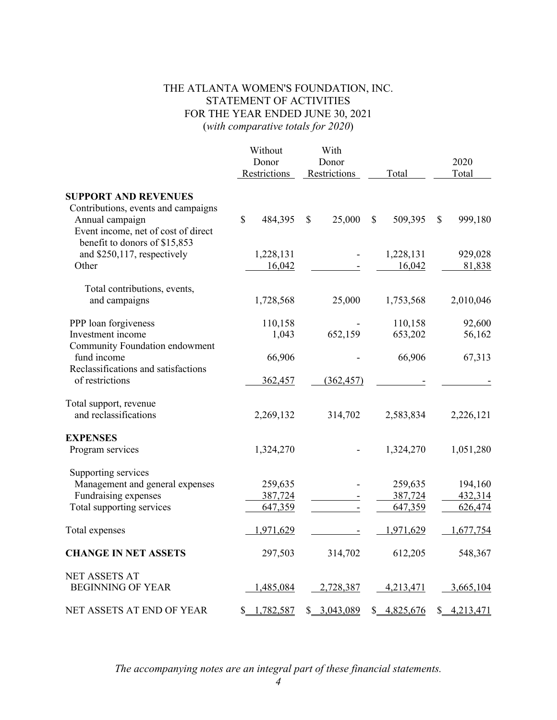# THE ATLANTA WOMEN'S FOUNDATION, INC. STATEMENT OF ACTIVITIES FOR THE YEAR ENDED JUNE 30, 2021 (*with comparative totals for 2020*)

|                                                                                       | Without<br>Donor<br>Restrictions | With<br>Donor<br>Restrictions | Total               | 2020<br>Total                        |
|---------------------------------------------------------------------------------------|----------------------------------|-------------------------------|---------------------|--------------------------------------|
| <b>SUPPORT AND REVENUES</b><br>Contributions, events and campaigns<br>Annual campaign | \$<br>484,395                    | 25,000<br>\$                  | \$<br>509,395       | $\boldsymbol{\mathsf{S}}$<br>999,180 |
| Event income, net of cost of direct<br>benefit to donors of \$15,853                  |                                  |                               |                     |                                      |
| and \$250,117, respectively<br>Other                                                  | 1,228,131<br>16,042              |                               | 1,228,131<br>16,042 | 929,028<br>81,838                    |
| Total contributions, events,<br>and campaigns                                         | 1,728,568                        | 25,000                        | 1,753,568           | 2,010,046                            |
| PPP loan forgiveness                                                                  | 110,158                          |                               | 110,158             | 92,600                               |
| Investment income<br>Community Foundation endowment                                   | 1,043                            | 652,159                       | 653,202             | 56,162                               |
| fund income<br>Reclassifications and satisfactions                                    | 66,906                           |                               | 66,906              | 67,313                               |
| of restrictions                                                                       | 362,457                          | (362, 457)                    |                     |                                      |
| Total support, revenue<br>and reclassifications                                       | 2,269,132                        | 314,702                       | 2,583,834           | 2,226,121                            |
| <b>EXPENSES</b>                                                                       |                                  |                               |                     |                                      |
| Program services                                                                      | 1,324,270                        |                               | 1,324,270           | 1,051,280                            |
| Supporting services                                                                   |                                  |                               |                     |                                      |
| Management and general expenses                                                       | 259,635                          |                               | 259,635             | 194,160                              |
| Fundraising expenses<br>Total supporting services                                     | 387,724<br>647,359               |                               | 387,724<br>647,359  | 432,314<br>626,474                   |
|                                                                                       |                                  |                               |                     |                                      |
| Total expenses                                                                        | 1,971,629                        |                               | 1,971,629           | 1,677,754                            |
| <b>CHANGE IN NET ASSETS</b>                                                           | 297,503                          | 314,702                       | 612,205             | 548,367                              |
| <b>NET ASSETS AT</b>                                                                  |                                  |                               |                     |                                      |
| <b>BEGINNING OF YEAR</b>                                                              | 1,485,084                        | 2,728,387                     | 4,213,471           | 3,665,104                            |
| NET ASSETS AT END OF YEAR                                                             | 1,782,587<br>\$                  | 3,043,089<br>\$               | 4,825,676<br>\$     | \$<br>4,213,471                      |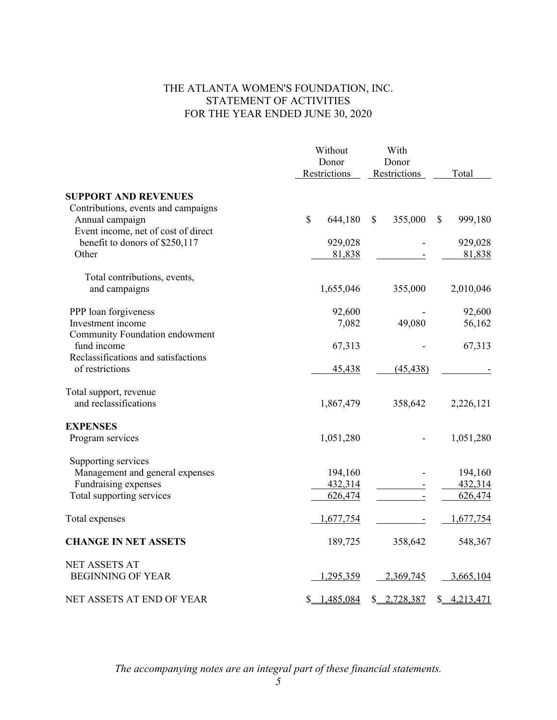# THE ATLANTA WOMEN'S FOUNDATION, INC. STATEMENT OF ACTIVITIES FOR THE YEAR ENDED JUNE 30, 2020

|                                     | Without<br>Donor<br>Restrictions | With<br>Donor<br>Restrictions | Total                   |
|-------------------------------------|----------------------------------|-------------------------------|-------------------------|
| <b>SUPPORT AND REVENUES</b>         |                                  |                               |                         |
| Contributions, events and campaigns |                                  |                               |                         |
| Annual campaign                     | $\mathbb{S}$<br>644,180          | $\mathcal{S}$<br>355,000      | $\mathbb{S}$<br>999,180 |
| Event income, net of cost of direct |                                  |                               |                         |
| benefit to donors of \$250,117      | 929,028                          |                               | 929,028                 |
| Other                               | 81,838                           |                               | 81,838                  |
| Total contributions, events,        |                                  |                               |                         |
| and campaigns                       | 1,655,046                        | 355,000                       | 2,010,046               |
| PPP loan forgiveness                | 92,600                           |                               | 92,600                  |
| Investment income                   | 7,082                            | 49,080                        | 56,162                  |
| Community Foundation endowment      |                                  |                               |                         |
| fund income                         | 67,313                           |                               | 67,313                  |
| Reclassifications and satisfactions |                                  |                               |                         |
| of restrictions                     | 45,438                           | (45, 438)                     |                         |
| Total support, revenue              |                                  |                               |                         |
| and reclassifications               | 1,867,479                        | 358,642                       | 2,226,121               |
| <b>EXPENSES</b>                     |                                  |                               |                         |
| Program services                    | 1,051,280                        |                               | 1,051,280               |
| Supporting services                 |                                  |                               |                         |
| Management and general expenses     | 194,160                          |                               | 194,160                 |
| Fundraising expenses                | 432,314                          |                               | 432,314                 |
| Total supporting services           | 626,474                          |                               | 626,474                 |
| Total expenses                      | 1,677,754                        |                               | 1,677,754               |
| <b>CHANGE IN NET ASSETS</b>         | 189,725                          | 358,642                       | 548,367                 |
| <b>NET ASSETS AT</b>                |                                  |                               |                         |
| <b>BEGINNING OF YEAR</b>            | 1,295,359                        | 2,369,745                     | 3,665,104               |
| NET ASSETS AT END OF YEAR           | 1,485,084<br>S                   | 2,728,387<br>$\mathbb{S}$     | 4,213,471<br>\$.        |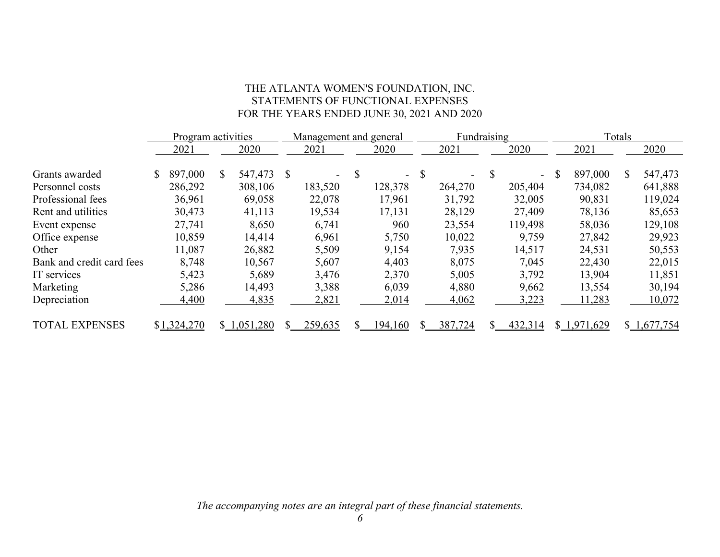| THE ATLANTA WOMEN'S FOUNDATION, INC.       |
|--------------------------------------------|
| STATEMENTS OF FUNCTIONAL EXPENSES          |
| FOR THE YEARS ENDED JUNE 30, 2021 AND 2020 |

|                           | Program activities |             |             | Management and general |         | Fundraising  |         | Totals |                          |   |                |               |    |             |
|---------------------------|--------------------|-------------|-------------|------------------------|---------|--------------|---------|--------|--------------------------|---|----------------|---------------|----|-------------|
|                           |                    | 2021        | 2020        |                        | 2021    |              | 2020    |        | 2021                     |   | 2020           | 2021          |    | 2020        |
| Grants awarded            |                    | 897,000     | 547,473     | S                      |         | $\mathbb{S}$ |         | S      | $\overline{\phantom{0}}$ | S | $\blacksquare$ | \$<br>897,000 | \$ | 547,473     |
| Personnel costs           |                    | 286,292     | 308,106     |                        | 183,520 |              | 128,378 |        | 264,270                  |   | 205,404        | 734,082       |    | 641,888     |
| Professional fees         |                    | 36,961      | 69,058      |                        | 22,078  |              | 17,961  |        | 31,792                   |   | 32,005         | 90,831        |    | 119,024     |
| Rent and utilities        |                    | 30,473      | 41,113      |                        | 19,534  |              | 17,131  |        | 28,129                   |   | 27,409         | 78,136        |    | 85,653      |
| Event expense             |                    | 27,741      | 8,650       |                        | 6,741   |              | 960     |        | 23,554                   |   | 119,498        | 58,036        |    | 129,108     |
| Office expense            |                    | 10,859      | 14,414      |                        | 6,961   |              | 5,750   |        | 10,022                   |   | 9,759          | 27,842        |    | 29,923      |
| Other                     |                    | 1,087       | 26,882      |                        | 5,509   |              | 9,154   |        | 7,935                    |   | 14,517         | 24,531        |    | 50,553      |
| Bank and credit card fees |                    | 8,748       | 10,567      |                        | 5,607   |              | 4,403   |        | 8,075                    |   | 7,045          | 22,430        |    | 22,015      |
| IT services               |                    | 5,423       | 5,689       |                        | 3,476   |              | 2,370   |        | 5,005                    |   | 3,792          | 13,904        |    | 11,851      |
| Marketing                 |                    | 5,286       | 14,493      |                        | 3,388   |              | 6,039   |        | 4,880                    |   | 9,662          | 13,554        |    | 30,194      |
| Depreciation              |                    | 4,400       | 4,835       |                        | 2,821   |              | 2,014   |        | 4,062                    |   | 3,223          | 11,283        |    | 10,072      |
| <b>TOTAL EXPENSES</b>     |                    | \$1,324,270 | \$1,051,280 | S.                     | 259,635 |              | 194,160 |        | 387,724                  |   | 432,314        | \$1,971,629   |    | \$1,677,754 |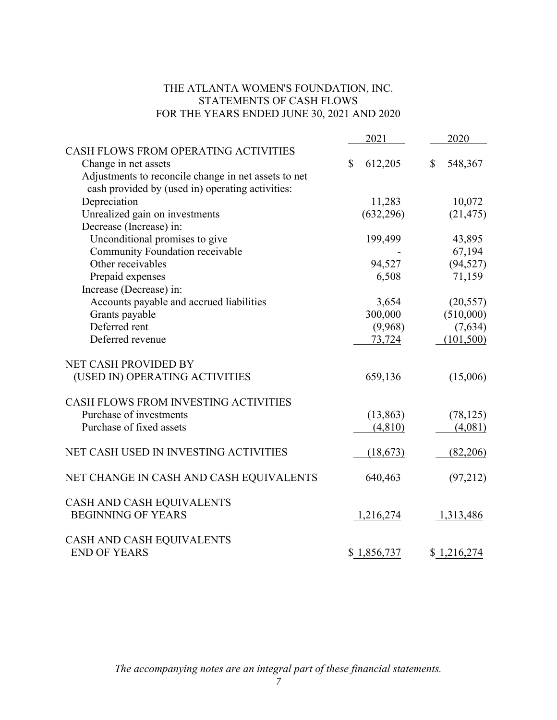# THE ATLANTA WOMEN'S FOUNDATION, INC. STATEMENTS OF CASH FLOWS FOR THE YEARS ENDED JUNE 30, 2021 AND 2020

|                                                      | 2021                    | 2020          |
|------------------------------------------------------|-------------------------|---------------|
| CASH FLOWS FROM OPERATING ACTIVITIES                 |                         |               |
| Change in net assets                                 | $\mathbb{S}$<br>612,205 | 548,367<br>\$ |
| Adjustments to reconcile change in net assets to net |                         |               |
| cash provided by (used in) operating activities:     |                         |               |
| Depreciation                                         | 11,283                  | 10,072        |
| Unrealized gain on investments                       | (632, 296)              | (21, 475)     |
| Decrease (Increase) in:                              |                         |               |
| Unconditional promises to give                       | 199,499                 | 43,895        |
| Community Foundation receivable                      |                         | 67,194        |
| Other receivables                                    | 94,527                  | (94, 527)     |
| Prepaid expenses                                     | 6,508                   | 71,159        |
| Increase (Decrease) in:                              |                         |               |
| Accounts payable and accrued liabilities             | 3,654                   | (20, 557)     |
| Grants payable                                       | 300,000                 | (510,000)     |
| Deferred rent                                        | (9,968)                 | (7,634)       |
| Deferred revenue                                     | 73,724                  | (101, 500)    |
| NET CASH PROVIDED BY                                 |                         |               |
| (USED IN) OPERATING ACTIVITIES                       | 659,136                 | (15,006)      |
| CASH FLOWS FROM INVESTING ACTIVITIES                 |                         |               |
| Purchase of investments                              | (13, 863)               | (78, 125)     |
| Purchase of fixed assets                             | (4,810)                 | (4,081)       |
| NET CASH USED IN INVESTING ACTIVITIES                | (18,673)                | (82, 206)     |
| NET CHANGE IN CASH AND CASH EQUIVALENTS              | 640,463                 | (97, 212)     |
| CASH AND CASH EQUIVALENTS                            |                         |               |
| <b>BEGINNING OF YEARS</b>                            | 1,216,274               | 1,313,486     |
| CASH AND CASH EQUIVALENTS                            |                         |               |
| <b>END OF YEARS</b>                                  | \$1,856,737             | \$1,216,274   |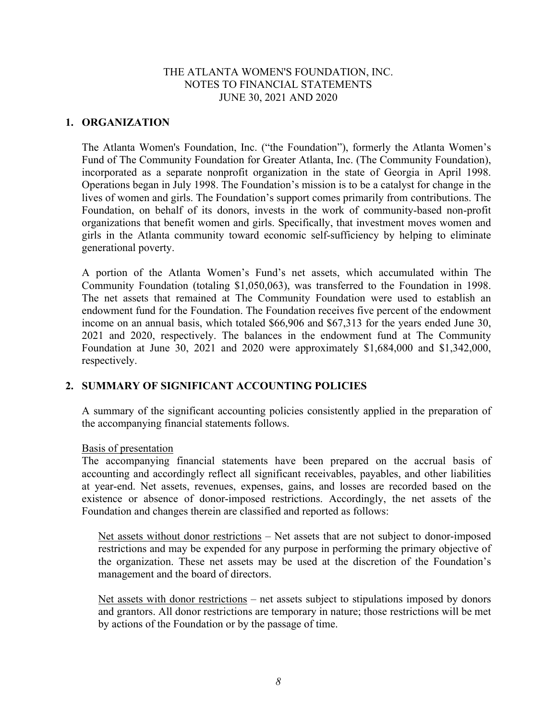# THE ATLANTA WOMEN'S FOUNDATION, INC. NOTES TO FINANCIAL STATEMENTS JUNE 30, 2021 AND 2020

# **1. ORGANIZATION**

The Atlanta Women's Foundation, Inc. ("the Foundation"), formerly the Atlanta Women's Fund of The Community Foundation for Greater Atlanta, Inc. (The Community Foundation), incorporated as a separate nonprofit organization in the state of Georgia in April 1998. Operations began in July 1998. The Foundation's mission is to be a catalyst for change in the lives of women and girls. The Foundation's support comes primarily from contributions. The Foundation, on behalf of its donors, invests in the work of community-based non-profit organizations that benefit women and girls. Specifically, that investment moves women and girls in the Atlanta community toward economic self-sufficiency by helping to eliminate generational poverty.

A portion of the Atlanta Women's Fund's net assets, which accumulated within The Community Foundation (totaling \$1,050,063), was transferred to the Foundation in 1998. The net assets that remained at The Community Foundation were used to establish an endowment fund for the Foundation. The Foundation receives five percent of the endowment income on an annual basis, which totaled \$66,906 and \$67,313 for the years ended June 30, 2021 and 2020, respectively. The balances in the endowment fund at The Community Foundation at June 30, 2021 and 2020 were approximately \$1,684,000 and \$1,342,000, respectively.

# **2. SUMMARY OF SIGNIFICANT ACCOUNTING POLICIES**

A summary of the significant accounting policies consistently applied in the preparation of the accompanying financial statements follows.

### Basis of presentation

The accompanying financial statements have been prepared on the accrual basis of accounting and accordingly reflect all significant receivables, payables, and other liabilities at year-end. Net assets, revenues, expenses, gains, and losses are recorded based on the existence or absence of donor-imposed restrictions. Accordingly, the net assets of the Foundation and changes therein are classified and reported as follows:

Net assets without donor restrictions – Net assets that are not subject to donor-imposed restrictions and may be expended for any purpose in performing the primary objective of the organization. These net assets may be used at the discretion of the Foundation's management and the board of directors.

Net assets with donor restrictions – net assets subject to stipulations imposed by donors and grantors. All donor restrictions are temporary in nature; those restrictions will be met by actions of the Foundation or by the passage of time.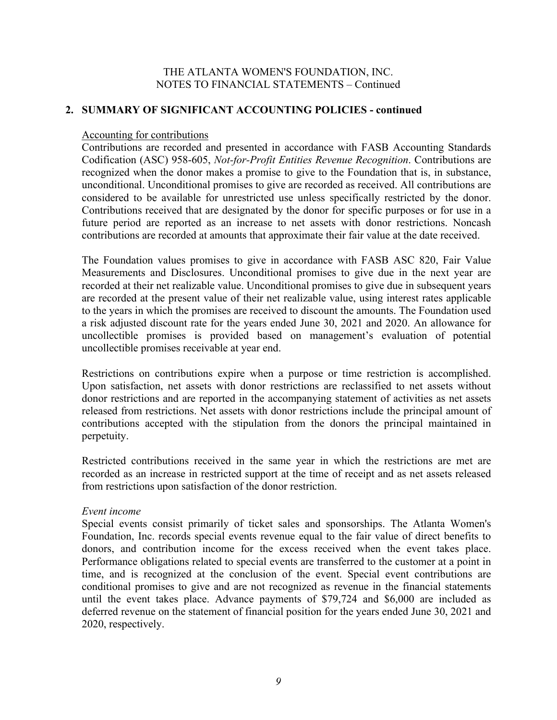## **2. SUMMARY OF SIGNIFICANT ACCOUNTING POLICIES - continued**

### Accounting for contributions

Contributions are recorded and presented in accordance with FASB Accounting Standards Codification (ASC) 958-605, *Not-for-Profit Entities Revenue Recognition*. Contributions are recognized when the donor makes a promise to give to the Foundation that is, in substance, unconditional. Unconditional promises to give are recorded as received. All contributions are considered to be available for unrestricted use unless specifically restricted by the donor. Contributions received that are designated by the donor for specific purposes or for use in a future period are reported as an increase to net assets with donor restrictions. Noncash contributions are recorded at amounts that approximate their fair value at the date received.

The Foundation values promises to give in accordance with FASB ASC 820, Fair Value Measurements and Disclosures. Unconditional promises to give due in the next year are recorded at their net realizable value. Unconditional promises to give due in subsequent years are recorded at the present value of their net realizable value, using interest rates applicable to the years in which the promises are received to discount the amounts. The Foundation used a risk adjusted discount rate for the years ended June 30, 2021 and 2020. An allowance for uncollectible promises is provided based on management's evaluation of potential uncollectible promises receivable at year end.

Restrictions on contributions expire when a purpose or time restriction is accomplished. Upon satisfaction, net assets with donor restrictions are reclassified to net assets without donor restrictions and are reported in the accompanying statement of activities as net assets released from restrictions. Net assets with donor restrictions include the principal amount of contributions accepted with the stipulation from the donors the principal maintained in perpetuity.

Restricted contributions received in the same year in which the restrictions are met are recorded as an increase in restricted support at the time of receipt and as net assets released from restrictions upon satisfaction of the donor restriction.

### *Event income*

Special events consist primarily of ticket sales and sponsorships. The Atlanta Women's Foundation, Inc. records special events revenue equal to the fair value of direct benefits to donors, and contribution income for the excess received when the event takes place. Performance obligations related to special events are transferred to the customer at a point in time, and is recognized at the conclusion of the event. Special event contributions are conditional promises to give and are not recognized as revenue in the financial statements until the event takes place. Advance payments of \$79,724 and \$6,000 are included as deferred revenue on the statement of financial position for the years ended June 30, 2021 and 2020, respectively.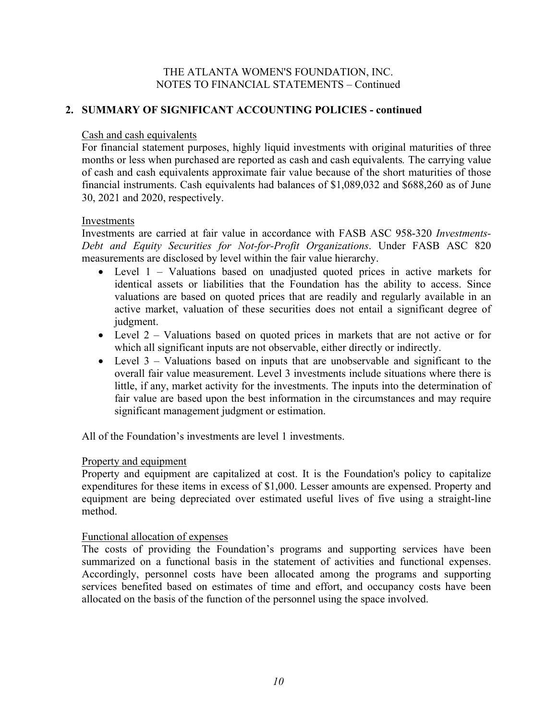# **2. SUMMARY OF SIGNIFICANT ACCOUNTING POLICIES - continued**

#### Cash and cash equivalents

For financial statement purposes, highly liquid investments with original maturities of three months or less when purchased are reported as cash and cash equivalents*.* The carrying value of cash and cash equivalents approximate fair value because of the short maturities of those financial instruments. Cash equivalents had balances of \$1,089,032 and \$688,260 as of June 30, 2021 and 2020, respectively.

### Investments

Investments are carried at fair value in accordance with FASB ASC 958-320 *Investments-Debt and Equity Securities for Not-for-Profit Organizations*. Under FASB ASC 820 measurements are disclosed by level within the fair value hierarchy.

- Level 1 Valuations based on unadjusted quoted prices in active markets for identical assets or liabilities that the Foundation has the ability to access. Since valuations are based on quoted prices that are readily and regularly available in an active market, valuation of these securities does not entail a significant degree of judgment.
- Level  $2$  Valuations based on quoted prices in markets that are not active or for which all significant inputs are not observable, either directly or indirectly.
- Level  $3$  Valuations based on inputs that are unobservable and significant to the overall fair value measurement. Level 3 investments include situations where there is little, if any, market activity for the investments. The inputs into the determination of fair value are based upon the best information in the circumstances and may require significant management judgment or estimation.

All of the Foundation's investments are level 1 investments.

### Property and equipment

Property and equipment are capitalized at cost. It is the Foundation's policy to capitalize expenditures for these items in excess of \$1,000. Lesser amounts are expensed. Property and equipment are being depreciated over estimated useful lives of five using a straight-line method.

#### Functional allocation of expenses

The costs of providing the Foundation's programs and supporting services have been summarized on a functional basis in the statement of activities and functional expenses. Accordingly, personnel costs have been allocated among the programs and supporting services benefited based on estimates of time and effort, and occupancy costs have been allocated on the basis of the function of the personnel using the space involved.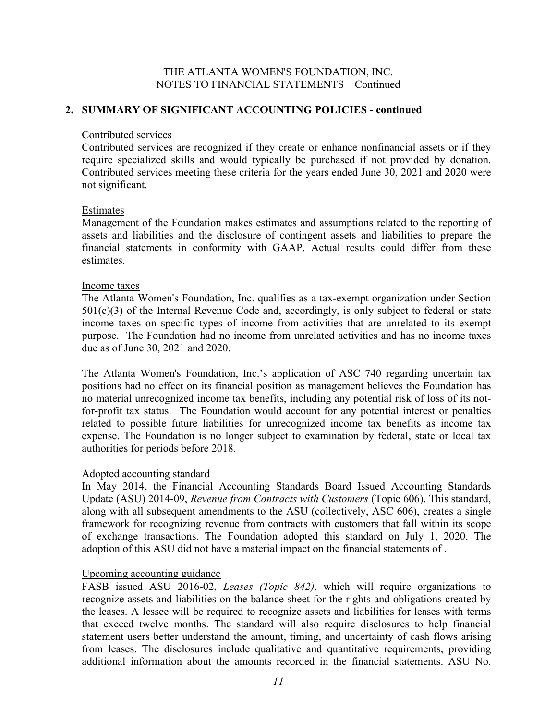### **2. SUMMARY OF SIGNIFICANT ACCOUNTING POLICIES - continued**

#### Contributed services

Contributed services are recognized if they create or enhance nonfinancial assets or if they require specialized skills and would typically be purchased if not provided by donation. Contributed services meeting these criteria for the years ended June 30, 2021 and 2020 were not significant.

### Estimates

Management of the Foundation makes estimates and assumptions related to the reporting of assets and liabilities and the disclosure of contingent assets and liabilities to prepare the financial statements in conformity with GAAP. Actual results could differ from these estimates.

#### Income taxes

The Atlanta Women's Foundation, Inc. qualifies as a tax-exempt organization under Section  $501(c)(3)$  of the Internal Revenue Code and, accordingly, is only subject to federal or state income taxes on specific types of income from activities that are unrelated to its exempt purpose. The Foundation had no income from unrelated activities and has no income taxes due as of June 30, 2021 and 2020.

The Atlanta Women's Foundation, Inc.'s application of ASC 740 regarding uncertain tax positions had no effect on its financial position as management believes the Foundation has no material unrecognized income tax benefits, including any potential risk of loss of its notfor-profit tax status. The Foundation would account for any potential interest or penalties related to possible future liabilities for unrecognized income tax benefits as income tax expense. The Foundation is no longer subject to examination by federal, state or local tax authorities for periods before 2018.

#### Adopted accounting standard

In May 2014, the Financial Accounting Standards Board Issued Accounting Standards Update (ASU) 2014-09, *Revenue from Contracts with Customers* (Topic 606). This standard, along with all subsequent amendments to the ASU (collectively, ASC 606), creates a single framework for recognizing revenue from contracts with customers that fall within its scope of exchange transactions. The Foundation adopted this standard on July 1, 2020. The adoption of this ASU did not have a material impact on the financial statements of .

#### Upcoming accounting guidance

FASB issued ASU 2016-02, *Leases (Topic 842)*, which will require organizations to recognize assets and liabilities on the balance sheet for the rights and obligations created by the leases. A lessee will be required to recognize assets and liabilities for leases with terms that exceed twelve months. The standard will also require disclosures to help financial statement users better understand the amount, timing, and uncertainty of cash flows arising from leases. The disclosures include qualitative and quantitative requirements, providing additional information about the amounts recorded in the financial statements. ASU No.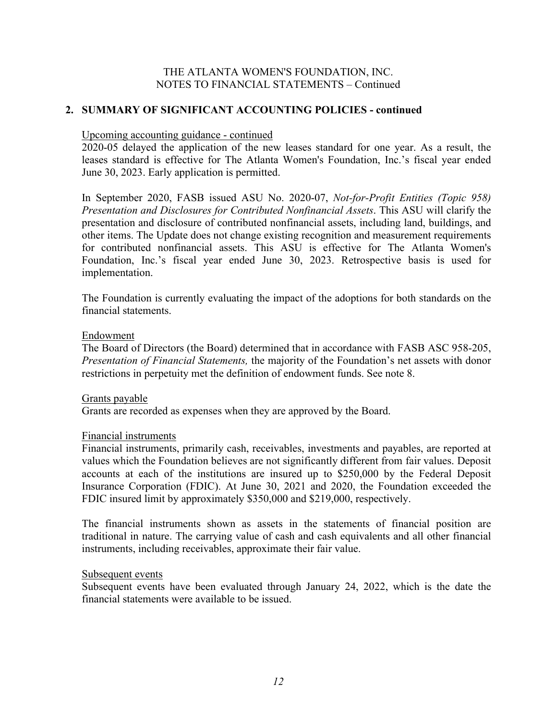## **2. SUMMARY OF SIGNIFICANT ACCOUNTING POLICIES - continued**

### Upcoming accounting guidance - continued

2020-05 delayed the application of the new leases standard for one year. As a result, the leases standard is effective for The Atlanta Women's Foundation, Inc.'s fiscal year ended June 30, 2023. Early application is permitted.

In September 2020, FASB issued ASU No. 2020-07, *Not-for-Profit Entities (Topic 958) Presentation and Disclosures for Contributed Nonfinancial Assets*. This ASU will clarify the presentation and disclosure of contributed nonfinancial assets, including land, buildings, and other items. The Update does not change existing recognition and measurement requirements for contributed nonfinancial assets. This ASU is effective for The Atlanta Women's Foundation, Inc.'s fiscal year ended June 30, 2023. Retrospective basis is used for implementation.

The Foundation is currently evaluating the impact of the adoptions for both standards on the financial statements.

#### Endowment

The Board of Directors (the Board) determined that in accordance with FASB ASC 958-205, *Presentation of Financial Statements,* the majority of the Foundation's net assets with donor restrictions in perpetuity met the definition of endowment funds. See note 8.

#### Grants payable

Grants are recorded as expenses when they are approved by the Board.

### Financial instruments

Financial instruments, primarily cash, receivables, investments and payables, are reported at values which the Foundation believes are not significantly different from fair values. Deposit accounts at each of the institutions are insured up to \$250,000 by the Federal Deposit Insurance Corporation (FDIC). At June 30, 2021 and 2020, the Foundation exceeded the FDIC insured limit by approximately \$350,000 and \$219,000, respectively.

The financial instruments shown as assets in the statements of financial position are traditional in nature. The carrying value of cash and cash equivalents and all other financial instruments, including receivables, approximate their fair value.

#### Subsequent events

Subsequent events have been evaluated through January 24, 2022, which is the date the financial statements were available to be issued.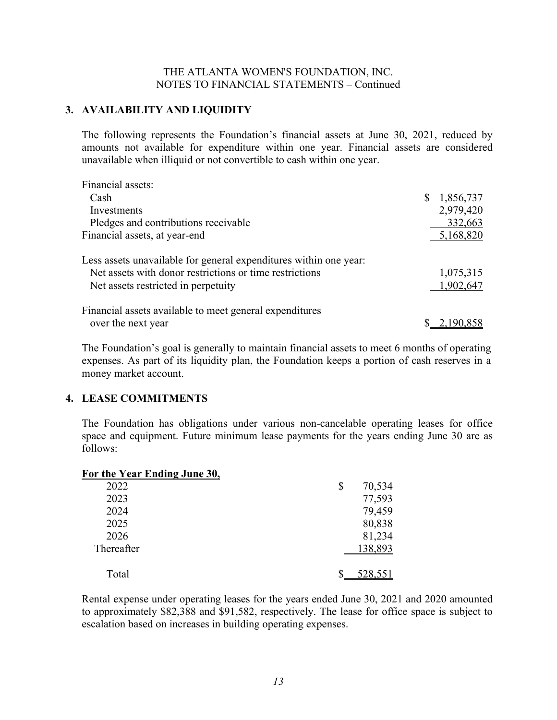# **3. AVAILABILITY AND LIQUIDITY**

The following represents the Foundation's financial assets at June 30, 2021, reduced by amounts not available for expenditure within one year. Financial assets are considered unavailable when illiquid or not convertible to cash within one year.

| Financial assets:                                                 |           |
|-------------------------------------------------------------------|-----------|
| Cash                                                              | 1,856,737 |
| Investments                                                       | 2,979,420 |
| Pledges and contributions receivable                              | 332,663   |
| Financial assets, at year-end                                     | 5,168,820 |
| Less assets unavailable for general expenditures within one year: |           |
| Net assets with donor restrictions or time restrictions           | 1,075,315 |
| Net assets restricted in perpetuity                               | 1,902,647 |
| Financial assets available to meet general expenditures           |           |
| over the next year                                                | 2,190,858 |

The Foundation's goal is generally to maintain financial assets to meet 6 months of operating expenses. As part of its liquidity plan, the Foundation keeps a portion of cash reserves in a money market account.

### **4. LEASE COMMITMENTS**

The Foundation has obligations under various non-cancelable operating leases for office space and equipment. Future minimum lease payments for the years ending June 30 are as follows:

| For the Year Ending June 30, |              |
|------------------------------|--------------|
| 2022                         | \$<br>70,534 |
| 2023                         | 77,593       |
| 2024                         | 79,459       |
| 2025                         | 80,838       |
| 2026                         | 81,234       |
| Thereafter                   | 138,893      |
|                              |              |
| Total                        | 528,551      |

Rental expense under operating leases for the years ended June 30, 2021 and 2020 amounted to approximately \$82,388 and \$91,582, respectively. The lease for office space is subject to escalation based on increases in building operating expenses.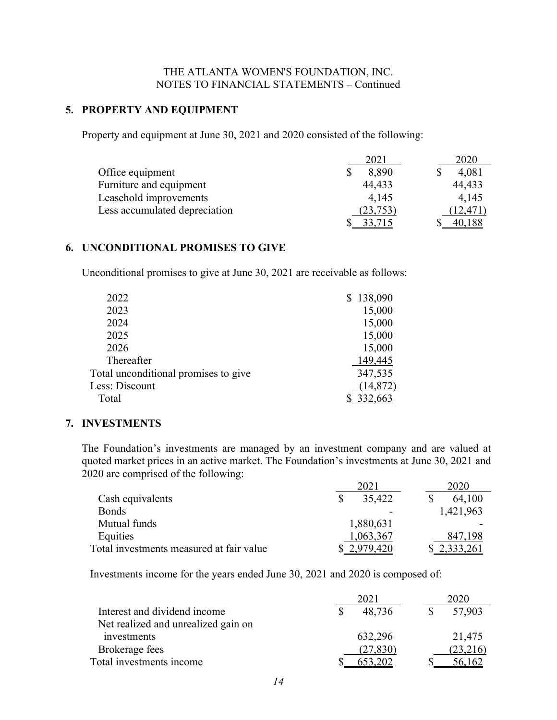# **5. PROPERTY AND EQUIPMENT**

Property and equipment at June 30, 2021 and 2020 consisted of the following:

|                               | 2021      | 2020   |
|-------------------------------|-----------|--------|
| Office equipment              | 8,890     | 4,081  |
| Furniture and equipment       | 44,433    | 44,433 |
| Leasehold improvements        | 4.145     | 4,145  |
| Less accumulated depreciation | (23, 753) | 12,471 |
|                               |           |        |

### **6. UNCONDITIONAL PROMISES TO GIVE**

Unconditional promises to give at June 30, 2021 are receivable as follows:

| 2022                                 | \$138,090 |
|--------------------------------------|-----------|
| 2023                                 | 15,000    |
| 2024                                 | 15,000    |
| 2025                                 | 15,000    |
| 2026                                 | 15,000    |
| Thereafter                           | 149,445   |
| Total unconditional promises to give | 347,535   |
| Less: Discount                       | (14, 872) |
| Total                                |           |

#### **7. INVESTMENTS**

The Foundation's investments are managed by an investment company and are valued at quoted market prices in an active market. The Foundation's investments at June 30, 2021 and 2020 are comprised of the following:

|                                          | 2021      | 2020      |
|------------------------------------------|-----------|-----------|
| Cash equivalents                         | 35,422    | 64,100    |
| <b>Bonds</b>                             |           | 1,421,963 |
| Mutual funds                             | 1,880,631 |           |
| Equities                                 | 1,063,367 | 847.198   |
| Total investments measured at fair value |           | 333,261   |

Investments income for the years ended June 30, 2021 and 2020 is composed of:

|                                     | 2021      | 2020     |
|-------------------------------------|-----------|----------|
| Interest and dividend income        | 48.736    | 57,903   |
| Net realized and unrealized gain on |           |          |
| investments                         | 632,296   | 21,475   |
| Brokerage fees                      | (27, 830) | (23,216) |
| Total investments income            |           |          |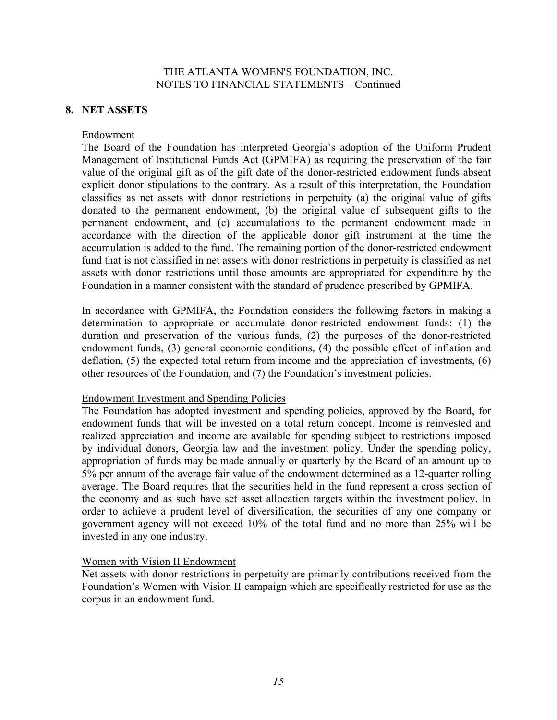## **8. NET ASSETS**

### Endowment

The Board of the Foundation has interpreted Georgia's adoption of the Uniform Prudent Management of Institutional Funds Act (GPMIFA) as requiring the preservation of the fair value of the original gift as of the gift date of the donor-restricted endowment funds absent explicit donor stipulations to the contrary. As a result of this interpretation, the Foundation classifies as net assets with donor restrictions in perpetuity (a) the original value of gifts donated to the permanent endowment, (b) the original value of subsequent gifts to the permanent endowment, and (c) accumulations to the permanent endowment made in accordance with the direction of the applicable donor gift instrument at the time the accumulation is added to the fund. The remaining portion of the donor-restricted endowment fund that is not classified in net assets with donor restrictions in perpetuity is classified as net assets with donor restrictions until those amounts are appropriated for expenditure by the Foundation in a manner consistent with the standard of prudence prescribed by GPMIFA.

In accordance with GPMIFA, the Foundation considers the following factors in making a determination to appropriate or accumulate donor-restricted endowment funds: (1) the duration and preservation of the various funds, (2) the purposes of the donor-restricted endowment funds, (3) general economic conditions, (4) the possible effect of inflation and deflation, (5) the expected total return from income and the appreciation of investments, (6) other resources of the Foundation, and (7) the Foundation's investment policies.

#### Endowment Investment and Spending Policies

The Foundation has adopted investment and spending policies, approved by the Board, for endowment funds that will be invested on a total return concept. Income is reinvested and realized appreciation and income are available for spending subject to restrictions imposed by individual donors, Georgia law and the investment policy. Under the spending policy, appropriation of funds may be made annually or quarterly by the Board of an amount up to 5% per annum of the average fair value of the endowment determined as a 12-quarter rolling average. The Board requires that the securities held in the fund represent a cross section of the economy and as such have set asset allocation targets within the investment policy. In order to achieve a prudent level of diversification, the securities of any one company or government agency will not exceed 10% of the total fund and no more than 25% will be invested in any one industry.

### Women with Vision II Endowment

Net assets with donor restrictions in perpetuity are primarily contributions received from the Foundation's Women with Vision II campaign which are specifically restricted for use as the corpus in an endowment fund.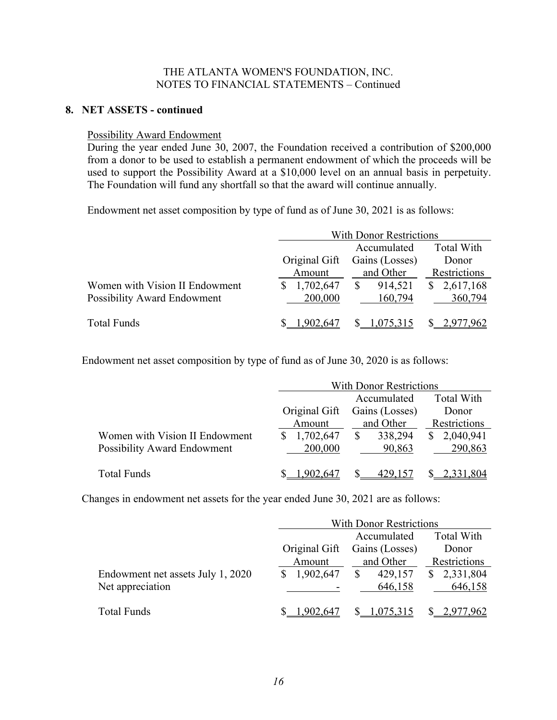# **8. NET ASSETS - continued**

#### Possibility Award Endowment

During the year ended June 30, 2007, the Foundation received a contribution of \$200,000 from a donor to be used to establish a permanent endowment of which the proceeds will be used to support the Possibility Award at a \$10,000 level on an annual basis in perpetuity. The Foundation will fund any shortfall so that the award will continue annually.

Endowment net asset composition by type of fund as of June 30, 2021 is as follows:

|                                    | <b>With Donor Restrictions</b>  |                         |                        |
|------------------------------------|---------------------------------|-------------------------|------------------------|
|                                    |                                 | Accumulated             | Total With             |
|                                    | Original Gift<br>Gains (Losses) |                         | Donor                  |
|                                    | Amount                          | and Other               | Restrictions           |
| Women with Vision II Endowment     | 1,702,647                       | 914,521<br><sup>S</sup> | \$2,617,168            |
| <b>Possibility Award Endowment</b> | 200,000                         | 160,794                 | 360,794                |
| <b>Total Funds</b>                 | .902.647                        | \$1,075,315             | $\frac{\$}{2.977,962}$ |

Endowment net asset composition by type of fund as of June 30, 2020 is as follows:

|                                    | <b>With Donor Restrictions</b> |                         |                   |
|------------------------------------|--------------------------------|-------------------------|-------------------|
|                                    |                                | Accumulated             | <b>Total With</b> |
|                                    | Original Gift                  | Gains (Losses)          | Donor             |
|                                    | Amount                         | and Other               | Restrictions      |
| Women with Vision II Endowment     | 1,702,647                      | 338,294<br><sup>S</sup> | 2,040,941         |
| <b>Possibility Award Endowment</b> | 200,000                        | 90,863                  | 290,863           |
| <b>Total Funds</b>                 | 1.902.647                      | 429,157                 | 2,331,804         |

Changes in endowment net assets for the year ended June 30, 2021 are as follows:

|                                   | <b>With Donor Restrictions</b> |                         |              |  |
|-----------------------------------|--------------------------------|-------------------------|--------------|--|
|                                   | Accumulated                    |                         | Total With   |  |
|                                   | Original Gift                  | Gains (Losses)          | Donor        |  |
|                                   | Amount                         | and Other               | Restrictions |  |
| Endowment net assets July 1, 2020 | 1,902,647                      | $\mathbb{S}$<br>429,157 | 2,331,804    |  |
| Net appreciation                  |                                | 646,158                 | 646,158      |  |
| <b>Total Funds</b>                | 1.902.647                      | 1,075,315               | \$ 2,977,962 |  |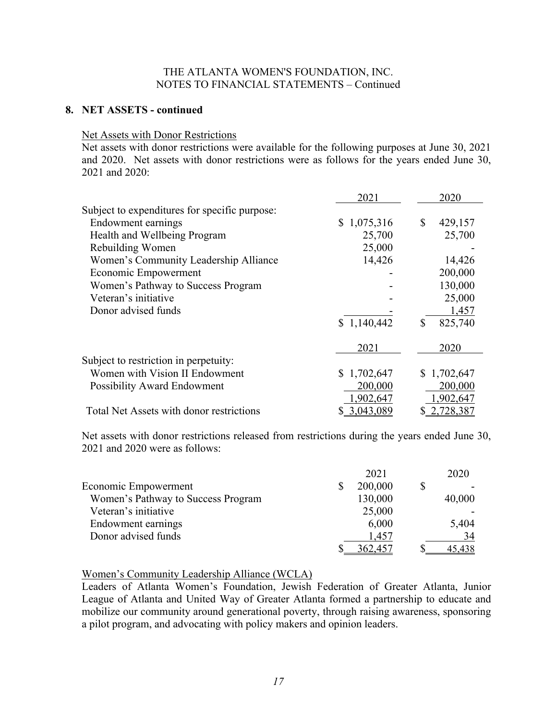## **8. NET ASSETS - continued**

#### Net Assets with Donor Restrictions

Net assets with donor restrictions were available for the following purposes at June 30, 2021 and 2020. Net assets with donor restrictions were as follows for the years ended June 30, 2021 and 2020:

|                                               | 2021        | 2020          |  |
|-----------------------------------------------|-------------|---------------|--|
| Subject to expenditures for specific purpose: |             |               |  |
| Endowment earnings                            | \$1,075,316 | \$<br>429,157 |  |
| Health and Wellbeing Program                  | 25,700      | 25,700        |  |
| Rebuilding Women                              | 25,000      |               |  |
| Women's Community Leadership Alliance         | 14,426      | 14,426        |  |
| Economic Empowerment                          |             | 200,000       |  |
| Women's Pathway to Success Program            |             | 130,000       |  |
| Veteran's initiative                          |             | 25,000        |  |
| Donor advised funds                           |             | 1,457         |  |
|                                               | \$1,140,442 | \$<br>825,740 |  |
|                                               | 2021        | 2020          |  |
| Subject to restriction in perpetuity:         |             |               |  |
| Women with Vision II Endowment                | \$1,702,647 | \$1,702,647   |  |
| <b>Possibility Award Endowment</b>            | 200,000     | 200,000       |  |
|                                               | 1,902,647   | 1,902,647     |  |
| Total Net Assets with donor restrictions      | \$3,043,089 | 2,728,387     |  |

Net assets with donor restrictions released from restrictions during the years ended June 30, 2021 and 2020 were as follows:

|                                    | 2021    | 2020   |
|------------------------------------|---------|--------|
| Economic Empowerment               | 200,000 |        |
| Women's Pathway to Success Program | 130,000 | 40,000 |
| Veteran's initiative               | 25,000  |        |
| Endowment earnings                 | 6,000   | 5,404  |
| Donor advised funds                | 1,457   | 34     |
|                                    |         |        |

## Women's Community Leadership Alliance (WCLA)

Leaders of Atlanta Women's Foundation, Jewish Federation of Greater Atlanta, Junior League of Atlanta and United Way of Greater Atlanta formed a partnership to educate and mobilize our community around generational poverty, through raising awareness, sponsoring a pilot program, and advocating with policy makers and opinion leaders.